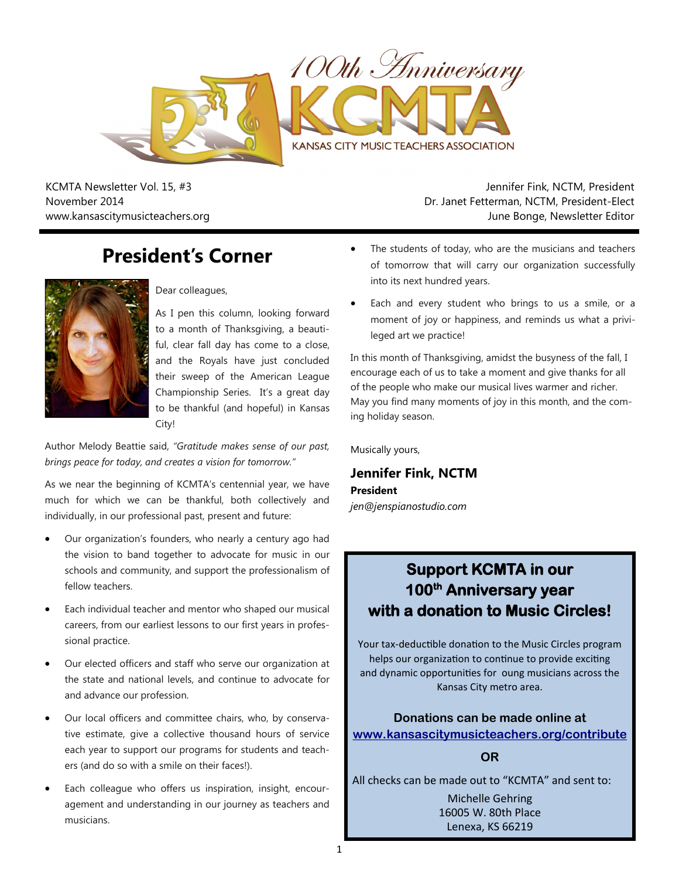

KCMTA Newsletter Vol. 15, #3 November 2014 www.kansascitymusicteachers.org

Jennifer Fink, NCTM, President Dr. Janet Fetterman, NCTM, President-Elect June Bonge, Newsletter Editor

# **President's Corner**



### Dear colleagues,

As I pen this column, looking forward to a month of Thanksgiving, a beautiful, clear fall day has come to a close, and the Royals have just concluded their sweep of the American League Championship Series. It's a great day to be thankful (and hopeful) in Kansas City!

Author Melody Beattie said, *"Gratitude makes sense of our past, brings peace for today, and creates a vision for tomorrow."*

As we near the beginning of KCMTA's centennial year, we have much for which we can be thankful, both collectively and individually, in our professional past, present and future:

- Our organization's founders, who nearly a century ago had the vision to band together to advocate for music in our schools and community, and support the professionalism of fellow teachers.
- Each individual teacher and mentor who shaped our musical careers, from our earliest lessons to our first years in professional practice.
- Our elected officers and staff who serve our organization at the state and national levels, and continue to advocate for and advance our profession.
- Our local officers and committee chairs, who, by conservative estimate, give a collective thousand hours of service each year to support our programs for students and teachers (and do so with a smile on their faces!).
- Each colleague who offers us inspiration, insight, encouragement and understanding in our journey as teachers and musicians.
- The students of today, who are the musicians and teachers of tomorrow that will carry our organization successfully into its next hundred years.
- Each and every student who brings to us a smile, or a moment of joy or happiness, and reminds us what a privileged art we practice!

In this month of Thanksgiving, amidst the busyness of the fall, I encourage each of us to take a moment and give thanks for all of the people who make our musical lives warmer and richer. May you find many moments of joy in this month, and the coming holiday season.

Musically yours,

**Jennifer Fink, NCTM President** *jen@jenspianostudio.com*

## **Support KCMTA in our 100th Anniversary year with a donation to Music Circles!**

Your tax-deductible donation to the Music Circles program helps our organization to continue to provide exciting and dynamic opportunities for oung musicians across the Kansas City metro area.

**Donations can be made online at [www.kansascitymusicteachers.org/contribute](http://kansascitymusicteachers.org/contribute)**

**OR**

All checks can be made out to "KCMTA" and sent to:

Michelle Gehring 16005 W. 80th Place Lenexa, KS 66219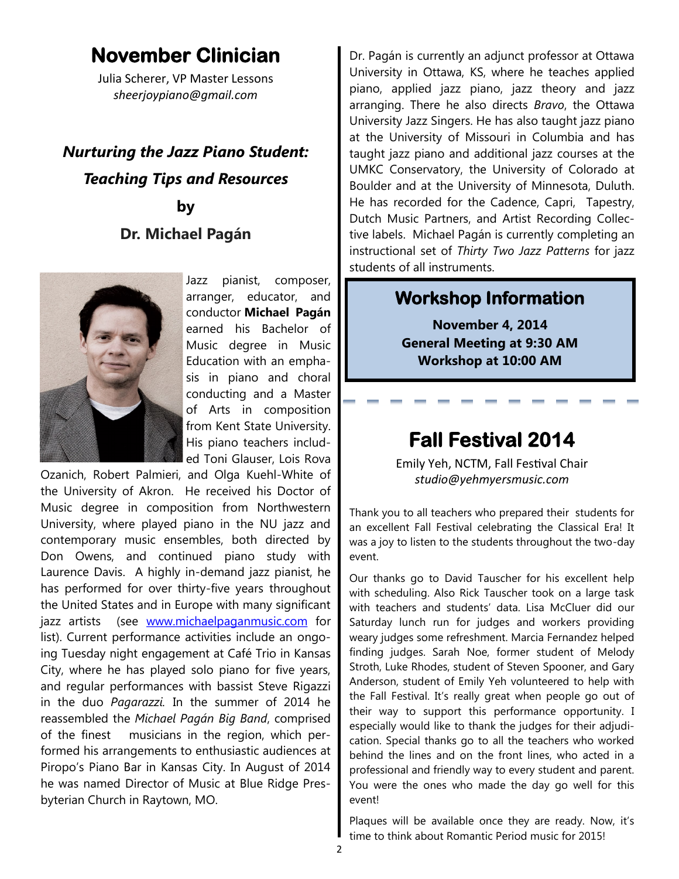# **November Clinician**

Julia Scherer, VP Master Lessons *sheerjoypiano@gmail.com*

# *Nurturing the Jazz Piano Student: Teaching Tips and Resources* **by**

## **Dr. Michael Pagán**



Jazz pianist, composer, arranger, educator, and conductor **Michael Pagán** earned his Bachelor of Music degree in Music Education with an emphasis in piano and choral conducting and a Master of Arts in composition from Kent State University. His piano teachers included Toni Glauser, Lois Rova

Ozanich, Robert Palmieri, and Olga Kuehl-White of the University of Akron. He received his Doctor of Music degree in composition from Northwestern University, where played piano in the NU jazz and contemporary music ensembles, both directed by Don Owens, and continued piano study with Laurence Davis. A highly in-demand jazz pianist, he has performed for over thirty-five years throughout the United States and in Europe with many significant jazz artists (see [www.michaelpaganmusic.com](http://www.michaelpaganmusic.com/) for list). Current performance activities include an ongoing Tuesday night engagement at Café Trio in Kansas City, where he has played solo piano for five years, and regular performances with bassist Steve Rigazzi in the duo *Pagarazzi.* In the summer of 2014 he reassembled the *Michael Pagán Big Band*, comprised of the finest musicians in the region, which performed his arrangements to enthusiastic audiences at Piropo's Piano Bar in Kansas City. In August of 2014 he was named Director of Music at Blue Ridge Presbyterian Church in Raytown, MO.

Dr. Pagán is currently an adjunct professor at Ottawa University in Ottawa, KS, where he teaches applied piano, applied jazz piano, jazz theory and jazz arranging. There he also directs *Bravo*, the Ottawa University Jazz Singers. He has also taught jazz piano at the University of Missouri in Columbia and has taught jazz piano and additional jazz courses at the UMKC Conservatory, the University of Colorado at Boulder and at the University of Minnesota, Duluth. He has recorded for the Cadence, Capri, Tapestry, Dutch Music Partners, and Artist Recording Collective labels. Michael Pagán is currently completing an instructional set of *Thirty Two Jazz Patterns* for jazz students of all instruments.

## **Workshop Information**

**November 4, 2014 General Meeting at 9:30 AM Workshop at 10:00 AM**

# **Fall Festival 2014**

Emily Yeh, NCTM, Fall Festival Chair *studio@yehmyersmusic.com*

Thank you to all teachers who prepared their students for an excellent Fall Festival celebrating the Classical Era! It was a joy to listen to the students throughout the two-day event.

Our thanks go to David Tauscher for his excellent help with scheduling. Also Rick Tauscher took on a large task with teachers and students' data. Lisa McCluer did our Saturday lunch run for judges and workers providing weary judges some refreshment. Marcia Fernandez helped finding judges. Sarah Noe, former student of Melody Stroth, Luke Rhodes, student of Steven Spooner, and Gary Anderson, student of Emily Yeh volunteered to help with the Fall Festival. It's really great when people go out of their way to support this performance opportunity. I especially would like to thank the judges for their adjudication. Special thanks go to all the teachers who worked behind the lines and on the front lines, who acted in a professional and friendly way to every student and parent. You were the ones who made the day go well for this event!

Plaques will be available once they are ready. Now, it's time to think about Romantic Period music for 2015!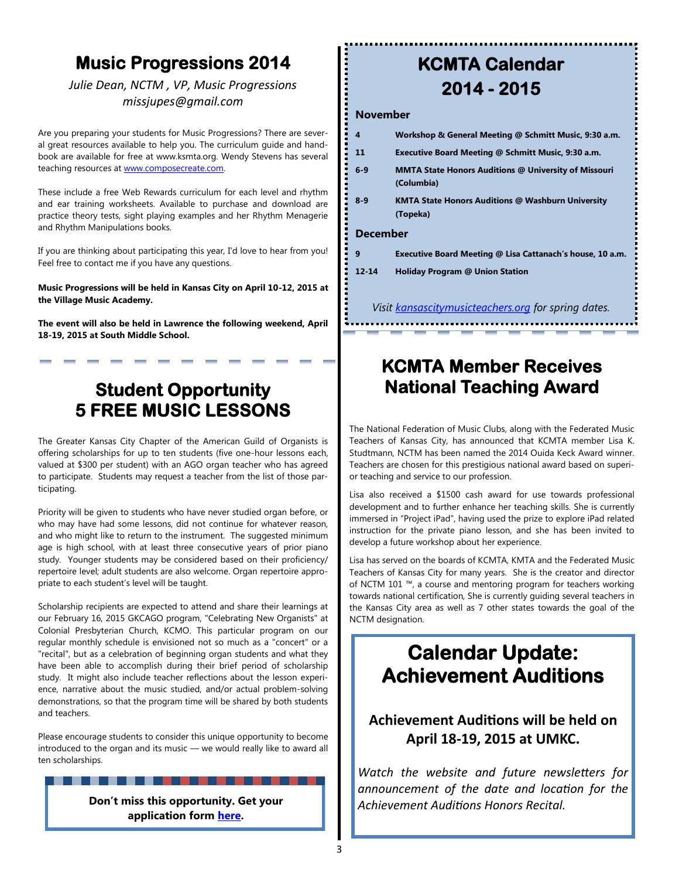## **Music Progressions 2014**

### *Julie Dean, NCTM , VP, Music Progressions missjupes@gmail.com*

Are you preparing your students for Music Progressions? There are several great resources available to help you. The curriculum guide and handbook are available for free at www.ksmta.org. Wendy Stevens has several teaching resources at **www.composecreate.com**.

These include a free Web Rewards curriculum for each level and rhythm and ear training worksheets. Available to purchase and download are practice theory tests, sight playing examples and her Rhythm Menagerie and Rhythm Manipulations books.

If you are thinking about participating this year, I'd love to hear from you! Feel free to contact me if you have any questions.

**Music Progressions will be held in Kansas City on April 10-12, 2015 at the Village Music Academy.**

**The event will also be held in Lawrence the following weekend, April 18-19, 2015 at South Middle School.**

## **Student Opportunity 5 FREE MUSIC LESSONS**

The Greater Kansas City Chapter of the American Guild of Organists is offering scholarships for up to ten students (five one-hour lessons each, valued at \$300 per student) with an AGO organ teacher who has agreed to participate. Students may request a teacher from the list of those participating.

Priority will be given to students who have never studied organ before, or who may have had some lessons, did not continue for whatever reason, and who might like to return to the instrument. The suggested minimum age is high school, with at least three consecutive years of prior piano study. Younger students may be considered based on their proficiency/ repertoire level; adult students are also welcome. Organ repertoire appropriate to each student's level will be taught.

Scholarship recipients are expected to attend and share their learnings at our February 16, 2015 GKCAGO program, "Celebrating New Organists" at Colonial Presbyterian Church, KCMO. This particular program on our regular monthly schedule is envisioned not so much as a "concert" or a "recital", but as a celebration of beginning organ students and what they have been able to accomplish during their brief period of scholarship study. It might also include teacher reflections about the lesson experience, narrative about the music studied, and/or actual problem-solving demonstrations, so that the program time will be shared by both students and teachers.

Please encourage students to consider this unique opportunity to become introduced to the organ and its music — we would really like to award all ten scholarships.

------

**Don't miss this opportunity. Get your application form [here.](http://www.kcago.com/pdfs/Celebrating_New_Organist_Application_Form.pdf)**

# **KCMTA Calendar 2014 - 2015**

#### **November**

| 4                                                   | Workshop & General Meeting @ Schmitt Music, 9:30 a.m.                     |
|-----------------------------------------------------|---------------------------------------------------------------------------|
| 11                                                  | Executive Board Meeting @ Schmitt Music, 9:30 a.m.                        |
| $6-9$                                               | <b>MMTA State Honors Auditions @ University of Missouri</b><br>(Columbia) |
| $8 - 9$                                             | <b>KMTA State Honors Auditions @ Washburn University</b><br>(Topeka)      |
| <b>December</b>                                     |                                                                           |
| 9                                                   | Executive Board Meeting @ Lisa Cattanach's house, 10 a.m.                 |
| $12 - 14$                                           | <b>Holiday Program @ Union Station</b>                                    |
|                                                     |                                                                           |
| Visit kansascitymusicteachers.org for spring dates. |                                                                           |

## **KCMTA Member Receives National Teaching Award**

The National Federation of Music Clubs, along with the Federated Music Teachers of Kansas City, has announced that KCMTA member Lisa K. Studtmann, NCTM has been named the 2014 Ouida Keck Award winner. Teachers are chosen for this prestigious national award based on superior teaching and service to our profession.

Lisa also received a \$1500 cash award for use towards professional development and to further enhance her teaching skills. She is currently immersed in "Project iPad", having used the prize to explore iPad related instruction for the private piano lesson, and she has been invited to develop a future workshop about her experience.

Lisa has served on the boards of KCMTA, KMTA and the Federated Music Teachers of Kansas City for many years. She is the creator and director of NCTM 101 ™, a course and mentoring program for teachers working towards national certification, She is currently guiding several teachers in the Kansas City area as well as 7 other states towards the goal of the NCTM designation.

# **Calendar Update: Achievement Auditions**

### **Achievement Auditions will be held on April 18-19, 2015 at UMKC.**

*Watch the website and future newsletters for announcement of the date and location for the Achievement Auditions Honors Recital.*